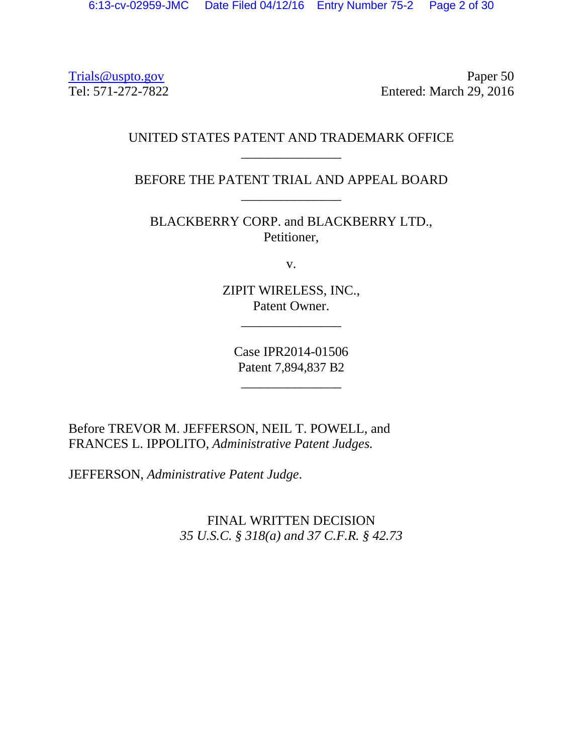Trials @uspto.gov Paper 50<br>Tel: 571-272-7822 Paper 50 Entered: March 29, 2016

## UNITED STATES PATENT AND TRADEMARK OFFICE \_\_\_\_\_\_\_\_\_\_\_\_\_\_\_

BEFORE THE PATENT TRIAL AND APPEAL BOARD \_\_\_\_\_\_\_\_\_\_\_\_\_\_\_

BLACKBERRY CORP. and BLACKBERRY LTD., Petitioner,

v.

ZIPIT WIRELESS, INC., Patent Owner.

\_\_\_\_\_\_\_\_\_\_\_\_\_\_\_

Case IPR2014-01506 Patent 7,894,837 B2

\_\_\_\_\_\_\_\_\_\_\_\_\_\_\_

Before TREVOR M. JEFFERSON, NEIL T. POWELL, and FRANCES L. IPPOLITO, *Administrative Patent Judges.* 

JEFFERSON, *Administrative Patent Judge*.

FINAL WRITTEN DECISION *35 U.S.C. § 318(a) and 37 C.F.R. § 42.73*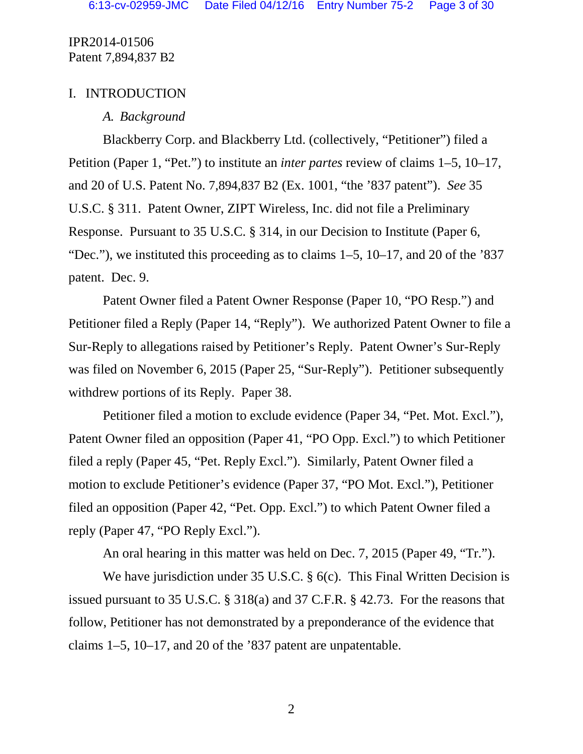### I. INTRODUCTION

## *A. Background*

Blackberry Corp. and Blackberry Ltd. (collectively, "Petitioner") filed a Petition (Paper 1, "Pet.") to institute an *inter partes* review of claims 1–5, 10–17, and 20 of U.S. Patent No. 7,894,837 B2 (Ex. 1001, "the '837 patent"). *See* 35 U.S.C. § 311. Patent Owner, ZIPT Wireless, Inc. did not file a Preliminary Response. Pursuant to 35 U.S.C. § 314, in our Decision to Institute (Paper 6, "Dec."), we instituted this proceeding as to claims  $1-5$ ,  $10-17$ , and  $20$  of the '837 patent. Dec. 9.

Patent Owner filed a Patent Owner Response (Paper 10, "PO Resp.") and Petitioner filed a Reply (Paper 14, "Reply"). We authorized Patent Owner to file a Sur-Reply to allegations raised by Petitioner's Reply. Patent Owner's Sur-Reply was filed on November 6, 2015 (Paper 25, "Sur-Reply"). Petitioner subsequently withdrew portions of its Reply. Paper 38.

Petitioner filed a motion to exclude evidence (Paper 34, "Pet. Mot. Excl."), Patent Owner filed an opposition (Paper 41, "PO Opp. Excl.") to which Petitioner filed a reply (Paper 45, "Pet. Reply Excl."). Similarly, Patent Owner filed a motion to exclude Petitioner's evidence (Paper 37, "PO Mot. Excl."), Petitioner filed an opposition (Paper 42, "Pet. Opp. Excl.") to which Patent Owner filed a reply (Paper 47, "PO Reply Excl.").

An oral hearing in this matter was held on Dec. 7, 2015 (Paper 49, "Tr.").

We have jurisdiction under 35 U.S.C. § 6(c). This Final Written Decision is issued pursuant to 35 U.S.C. § 318(a) and 37 C.F.R. § 42.73. For the reasons that follow, Petitioner has not demonstrated by a preponderance of the evidence that claims 1–5, 10–17, and 20 of the '837 patent are unpatentable.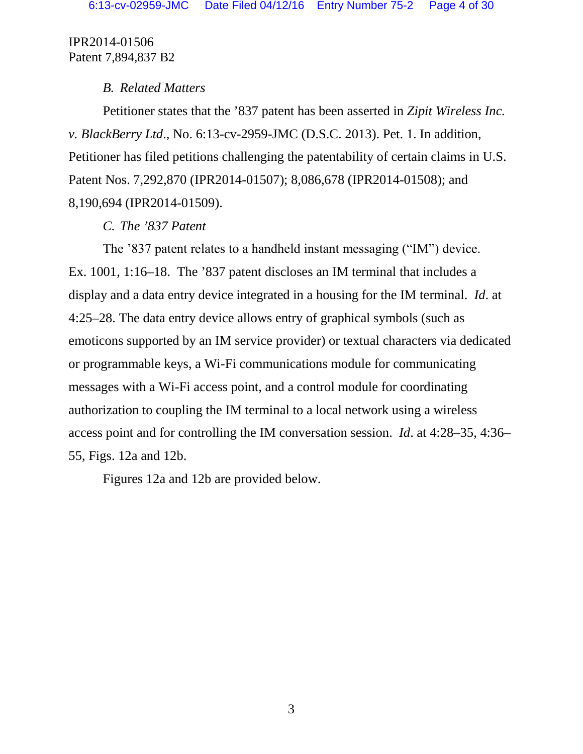## *B. Related Matters*

Petitioner states that the '837 patent has been asserted in *Zipit Wireless Inc. v. BlackBerry Ltd*., No. 6:13-cv-2959-JMC (D.S.C. 2013). Pet. 1. In addition, Petitioner has filed petitions challenging the patentability of certain claims in U.S. Patent Nos. 7,292,870 (IPR2014-01507); 8,086,678 (IPR2014-01508); and 8,190,694 (IPR2014-01509).

# *C. The '837 Patent*

The '837 patent relates to a handheld instant messaging ("IM") device. Ex. 1001, 1:16–18. The '837 patent discloses an IM terminal that includes a display and a data entry device integrated in a housing for the IM terminal. *Id*. at 4:25–28. The data entry device allows entry of graphical symbols (such as emoticons supported by an IM service provider) or textual characters via dedicated or programmable keys, a Wi-Fi communications module for communicating messages with a Wi-Fi access point, and a control module for coordinating authorization to coupling the IM terminal to a local network using a wireless access point and for controlling the IM conversation session. *Id*. at 4:28–35, 4:36– 55, Figs. 12a and 12b.

Figures 12a and 12b are provided below.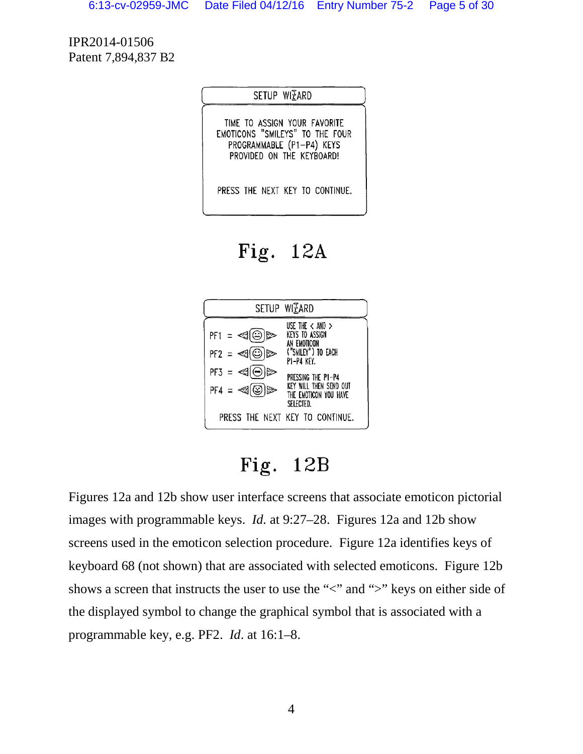SETUP WIZARD

TIME TO ASSIGN YOUR FAVORITE EMOTICONS "SMILEYS" TO THE FOUR PROGRAMMABLE (P1-P4) KEYS PROVIDED ON THE KEYBOARD!

PRESS THE NEXT KEY TO CONTINUE.

Fig.  $12A$ 



Fig.  $12B$ 

Figures 12a and 12b show user interface screens that associate emoticon pictorial images with programmable keys. *Id.* at 9:27–28. Figures 12a and 12b show screens used in the emoticon selection procedure. Figure 12a identifies keys of keyboard 68 (not shown) that are associated with selected emoticons. Figure 12b shows a screen that instructs the user to use the " $\lt$ " and " $\gt$ " keys on either side of the displayed symbol to change the graphical symbol that is associated with a programmable key, e.g. PF2. *Id*. at 16:1–8.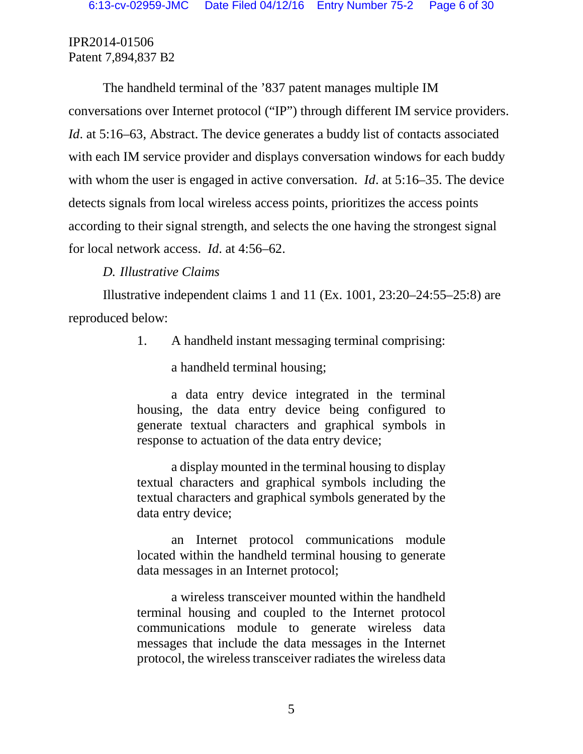The handheld terminal of the '837 patent manages multiple IM conversations over Internet protocol ("IP") through different IM service providers. *Id*. at 5:16–63, Abstract. The device generates a buddy list of contacts associated with each IM service provider and displays conversation windows for each buddy with whom the user is engaged in active conversation. *Id*. at 5:16–35. The device detects signals from local wireless access points, prioritizes the access points according to their signal strength, and selects the one having the strongest signal for local network access. *Id*. at 4:56–62.

# *D. Illustrative Claims*

Illustrative independent claims 1 and 11 (Ex. 1001, 23:20–24:55–25:8) are reproduced below:

1. A handheld instant messaging terminal comprising:

a handheld terminal housing;

a data entry device integrated in the terminal housing, the data entry device being configured to generate textual characters and graphical symbols in response to actuation of the data entry device;

a display mounted in the terminal housing to display textual characters and graphical symbols including the textual characters and graphical symbols generated by the data entry device;

an Internet protocol communications module located within the handheld terminal housing to generate data messages in an Internet protocol;

a wireless transceiver mounted within the handheld terminal housing and coupled to the Internet protocol communications module to generate wireless data messages that include the data messages in the Internet protocol, the wireless transceiver radiates the wireless data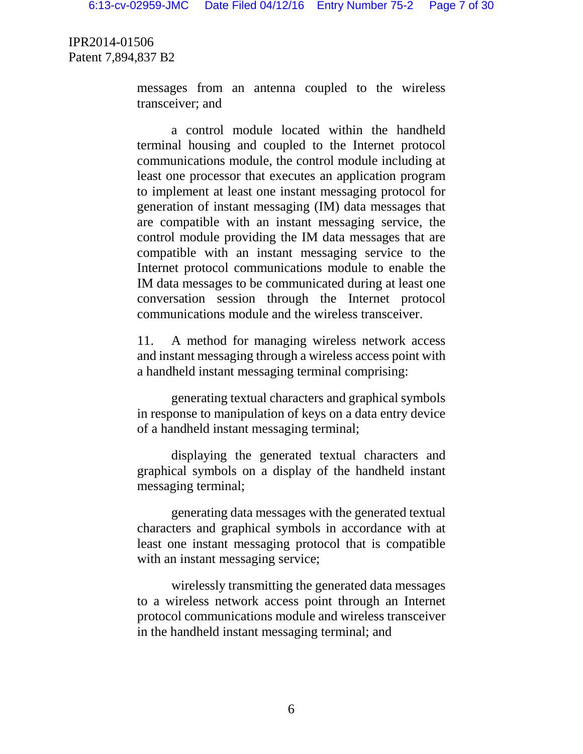> messages from an antenna coupled to the wireless transceiver; and

> a control module located within the handheld terminal housing and coupled to the Internet protocol communications module, the control module including at least one processor that executes an application program to implement at least one instant messaging protocol for generation of instant messaging (IM) data messages that are compatible with an instant messaging service, the control module providing the IM data messages that are compatible with an instant messaging service to the Internet protocol communications module to enable the IM data messages to be communicated during at least one conversation session through the Internet protocol communications module and the wireless transceiver.

> 11. A method for managing wireless network access and instant messaging through a wireless access point with a handheld instant messaging terminal comprising:

> generating textual characters and graphical symbols in response to manipulation of keys on a data entry device of a handheld instant messaging terminal;

> displaying the generated textual characters and graphical symbols on a display of the handheld instant messaging terminal;

> generating data messages with the generated textual characters and graphical symbols in accordance with at least one instant messaging protocol that is compatible with an instant messaging service;

> wirelessly transmitting the generated data messages to a wireless network access point through an Internet protocol communications module and wireless transceiver in the handheld instant messaging terminal; and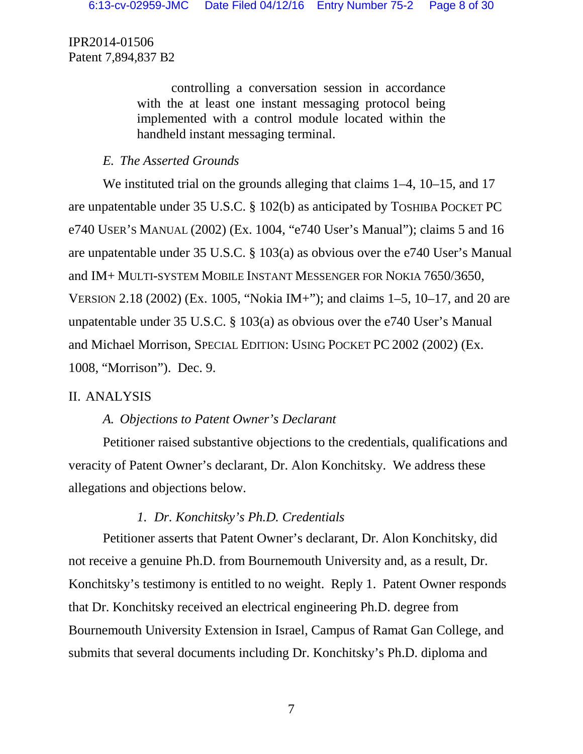> controlling a conversation session in accordance with the at least one instant messaging protocol being implemented with a control module located within the handheld instant messaging terminal.

# *E. The Asserted Grounds*

We instituted trial on the grounds alleging that claims 1–4, 10–15, and 17 are unpatentable under 35 U.S.C. § 102(b) as anticipated by TOSHIBA POCKET PC e740 USER'S MANUAL (2002) (Ex. 1004, "e740 User's Manual"); claims 5 and 16 are unpatentable under 35 U.S.C. § 103(a) as obvious over the e740 User's Manual and IM+ MULTI-SYSTEM MOBILE INSTANT MESSENGER FOR NOKIA 7650/3650, VERSION 2.18 (2002) (Ex. 1005, "Nokia IM+"); and claims 1–5, 10–17, and 20 are unpatentable under 35 U.S.C. § 103(a) as obvious over the e740 User's Manual and Michael Morrison, SPECIAL EDITION: USING POCKET PC 2002 (2002) (Ex. 1008, "Morrison"). Dec. 9.

# II. ANALYSIS

# *A. Objections to Patent Owner's Declarant*

Petitioner raised substantive objections to the credentials, qualifications and veracity of Patent Owner's declarant, Dr. Alon Konchitsky. We address these allegations and objections below.

# *1. Dr. Konchitsky's Ph.D. Credentials*

Petitioner asserts that Patent Owner's declarant, Dr. Alon Konchitsky, did not receive a genuine Ph.D. from Bournemouth University and, as a result, Dr. Konchitsky's testimony is entitled to no weight. Reply 1. Patent Owner responds that Dr. Konchitsky received an electrical engineering Ph.D. degree from Bournemouth University Extension in Israel, Campus of Ramat Gan College, and submits that several documents including Dr. Konchitsky's Ph.D. diploma and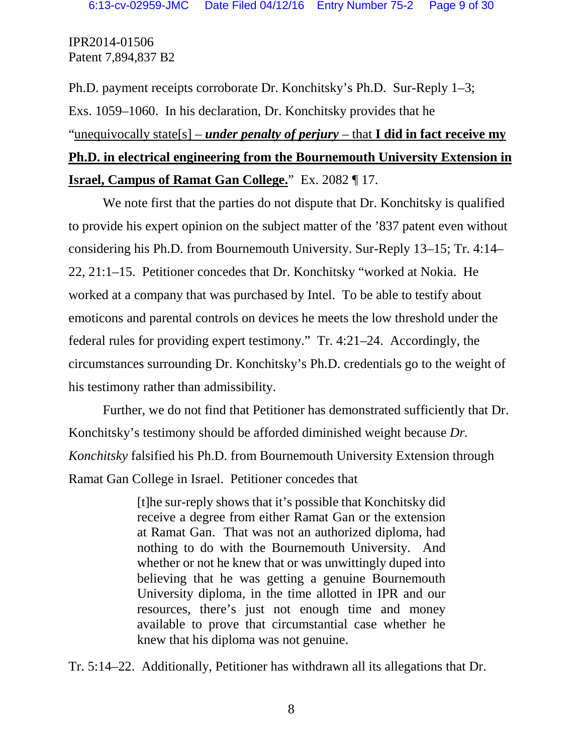Ph.D. payment receipts corroborate Dr. Konchitsky's Ph.D. Sur-Reply 1–3; Exs. 1059–1060. In his declaration, Dr. Konchitsky provides that he "unequivocally state[s] – *under penalty of perjury* – that **I did in fact receive my Ph.D. in electrical engineering from the Bournemouth University Extension in Israel, Campus of Ramat Gan College.**" Ex. 2082 ¶ 17.

We note first that the parties do not dispute that Dr. Konchitsky is qualified to provide his expert opinion on the subject matter of the '837 patent even without considering his Ph.D. from Bournemouth University. Sur-Reply 13–15; Tr. 4:14– 22, 21:1–15. Petitioner concedes that Dr. Konchitsky "worked at Nokia. He worked at a company that was purchased by Intel. To be able to testify about emoticons and parental controls on devices he meets the low threshold under the federal rules for providing expert testimony." Tr. 4:21–24. Accordingly, the circumstances surrounding Dr. Konchitsky's Ph.D. credentials go to the weight of his testimony rather than admissibility.

Further, we do not find that Petitioner has demonstrated sufficiently that Dr. Konchitsky's testimony should be afforded diminished weight because *Dr. Konchitsky* falsified his Ph.D. from Bournemouth University Extension through Ramat Gan College in Israel. Petitioner concedes that

> [t]he sur-reply shows that it's possible that Konchitsky did receive a degree from either Ramat Gan or the extension at Ramat Gan. That was not an authorized diploma, had nothing to do with the Bournemouth University. And whether or not he knew that or was unwittingly duped into believing that he was getting a genuine Bournemouth University diploma, in the time allotted in IPR and our resources, there's just not enough time and money available to prove that circumstantial case whether he knew that his diploma was not genuine.

Tr. 5:14–22. Additionally, Petitioner has withdrawn all its allegations that Dr.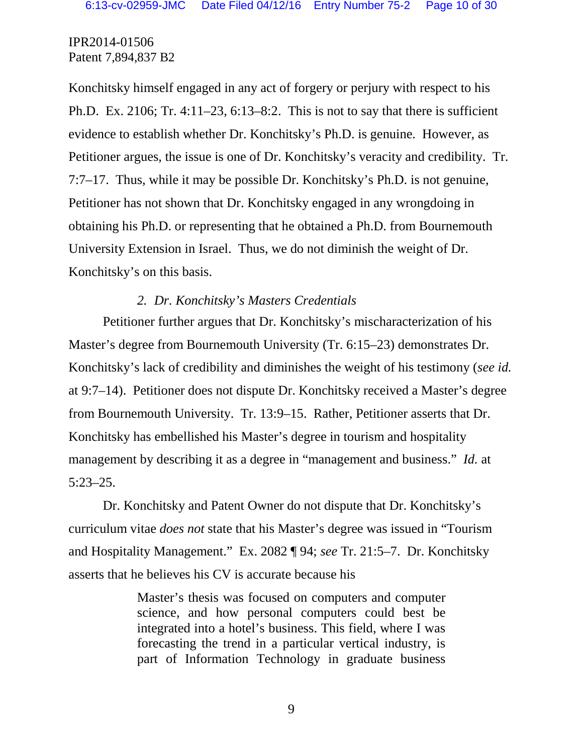Konchitsky himself engaged in any act of forgery or perjury with respect to his Ph.D. Ex. 2106; Tr. 4:11–23, 6:13–8:2. This is not to say that there is sufficient evidence to establish whether Dr. Konchitsky's Ph.D. is genuine. However, as Petitioner argues, the issue is one of Dr. Konchitsky's veracity and credibility. Tr. 7:7–17. Thus, while it may be possible Dr. Konchitsky's Ph.D. is not genuine, Petitioner has not shown that Dr. Konchitsky engaged in any wrongdoing in obtaining his Ph.D. or representing that he obtained a Ph.D. from Bournemouth University Extension in Israel. Thus, we do not diminish the weight of Dr. Konchitsky's on this basis.

#### *2. Dr. Konchitsky's Masters Credentials*

Petitioner further argues that Dr. Konchitsky's mischaracterization of his Master's degree from Bournemouth University (Tr. 6:15–23) demonstrates Dr. Konchitsky's lack of credibility and diminishes the weight of his testimony (*see id.* at 9:7–14). Petitioner does not dispute Dr. Konchitsky received a Master's degree from Bournemouth University. Tr. 13:9–15. Rather, Petitioner asserts that Dr. Konchitsky has embellished his Master's degree in tourism and hospitality management by describing it as a degree in "management and business." *Id.* at 5:23–25.

Dr. Konchitsky and Patent Owner do not dispute that Dr. Konchitsky's curriculum vitae *does not* state that his Master's degree was issued in "Tourism and Hospitality Management." Ex. 2082 ¶ 94; *see* Tr. 21:5–7. Dr. Konchitsky asserts that he believes his CV is accurate because his

> Master's thesis was focused on computers and computer science, and how personal computers could best be integrated into a hotel's business. This field, where I was forecasting the trend in a particular vertical industry, is part of Information Technology in graduate business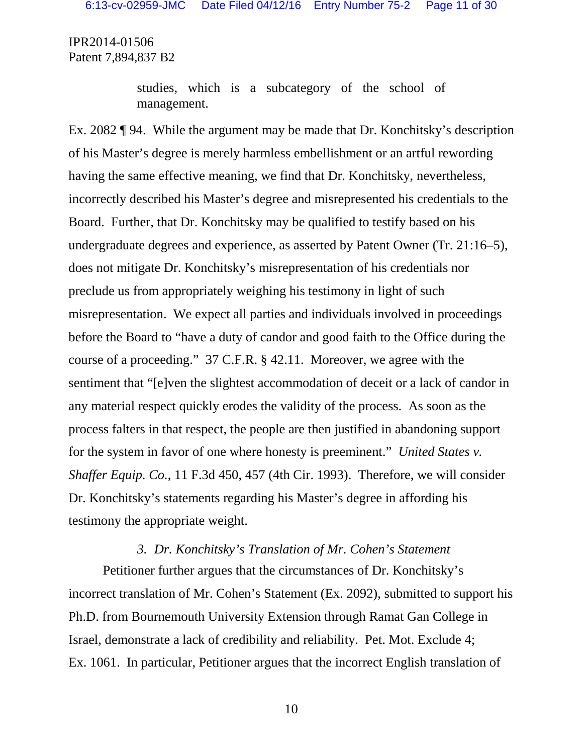> studies, which is a subcategory of the school of management.

Ex. 2082 ¶ 94. While the argument may be made that Dr. Konchitsky's description of his Master's degree is merely harmless embellishment or an artful rewording having the same effective meaning, we find that Dr. Konchitsky, nevertheless, incorrectly described his Master's degree and misrepresented his credentials to the Board. Further, that Dr. Konchitsky may be qualified to testify based on his undergraduate degrees and experience, as asserted by Patent Owner (Tr. 21:16–5), does not mitigate Dr. Konchitsky's misrepresentation of his credentials nor preclude us from appropriately weighing his testimony in light of such misrepresentation. We expect all parties and individuals involved in proceedings before the Board to "have a duty of candor and good faith to the Office during the course of a proceeding." 37 C.F.R. § 42.11. Moreover, we agree with the sentiment that "[e]ven the slightest accommodation of deceit or a lack of candor in any material respect quickly erodes the validity of the process. As soon as the process falters in that respect, the people are then justified in abandoning support for the system in favor of one where honesty is preeminent." *United States v. Shaffer Equip. Co.*, 11 F.3d 450, 457 (4th Cir. 1993). Therefore, we will consider Dr. Konchitsky's statements regarding his Master's degree in affording his testimony the appropriate weight.

#### *3. Dr. Konchitsky's Translation of Mr. Cohen's Statement*

Petitioner further argues that the circumstances of Dr. Konchitsky's incorrect translation of Mr. Cohen's Statement (Ex. 2092), submitted to support his Ph.D. from Bournemouth University Extension through Ramat Gan College in Israel, demonstrate a lack of credibility and reliability. Pet. Mot. Exclude 4; Ex. 1061. In particular, Petitioner argues that the incorrect English translation of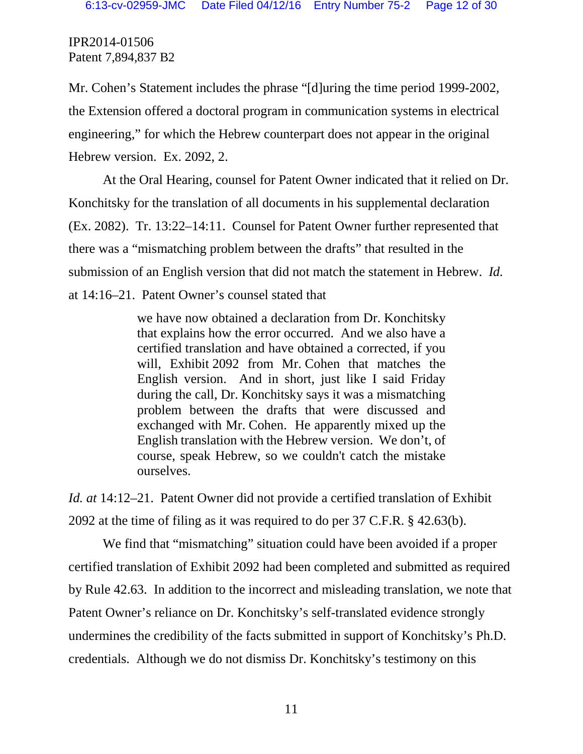Mr. Cohen's Statement includes the phrase "[d]uring the time period 1999-2002, the Extension offered a doctoral program in communication systems in electrical engineering," for which the Hebrew counterpart does not appear in the original Hebrew version. Ex. 2092, 2.

At the Oral Hearing, counsel for Patent Owner indicated that it relied on Dr. Konchitsky for the translation of all documents in his supplemental declaration (Ex. 2082). Tr. 13:22–14:11. Counsel for Patent Owner further represented that there was a "mismatching problem between the drafts" that resulted in the submission of an English version that did not match the statement in Hebrew. *Id.* at 14:16–21. Patent Owner's counsel stated that

> we have now obtained a declaration from Dr. Konchitsky that explains how the error occurred. And we also have a certified translation and have obtained a corrected, if you will, Exhibit 2092 from Mr. Cohen that matches the English version. And in short, just like I said Friday during the call, Dr. Konchitsky says it was a mismatching problem between the drafts that were discussed and exchanged with Mr. Cohen. He apparently mixed up the English translation with the Hebrew version. We don't, of course, speak Hebrew, so we couldn't catch the mistake ourselves.

*Id. at* 14:12–21. Patent Owner did not provide a certified translation of Exhibit 2092 at the time of filing as it was required to do per 37 C.F.R. § 42.63(b).

We find that "mismatching" situation could have been avoided if a proper certified translation of Exhibit 2092 had been completed and submitted as required by Rule 42.63. In addition to the incorrect and misleading translation, we note that Patent Owner's reliance on Dr. Konchitsky's self-translated evidence strongly undermines the credibility of the facts submitted in support of Konchitsky's Ph.D. credentials. Although we do not dismiss Dr. Konchitsky's testimony on this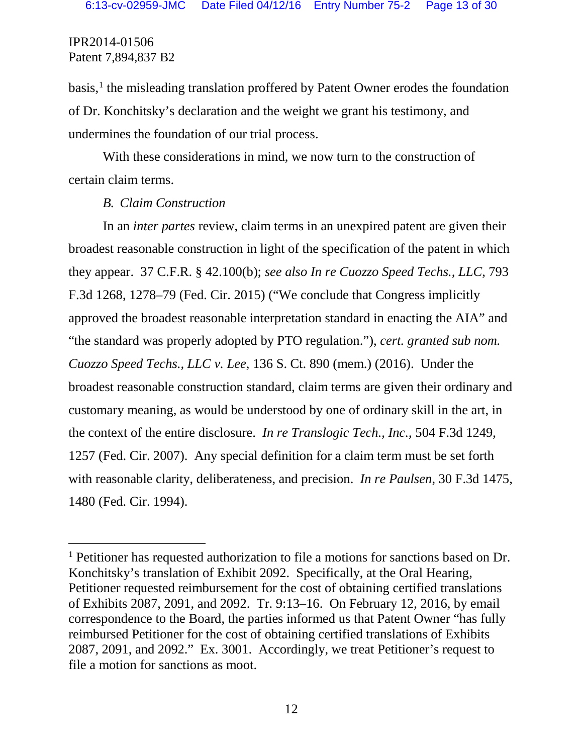basis, [1](#page-11-0) the misleading translation proffered by Patent Owner erodes the foundation of Dr. Konchitsky's declaration and the weight we grant his testimony, and undermines the foundation of our trial process.

With these considerations in mind, we now turn to the construction of certain claim terms.

#### *B. Claim Construction*

In an *inter partes* review, claim terms in an unexpired patent are given their broadest reasonable construction in light of the specification of the patent in which they appear. 37 C.F.R. § 42.100(b); *see also In re Cuozzo Speed Techs., LLC*, 793 F.3d 1268, 1278–79 (Fed. Cir. 2015) ("We conclude that Congress implicitly approved the broadest reasonable interpretation standard in enacting the AIA" and "the standard was properly adopted by PTO regulation."), *cert. granted sub nom. Cuozzo Speed Techs., LLC v. Lee*, 136 S. Ct. 890 (mem.) (2016). Under the broadest reasonable construction standard, claim terms are given their ordinary and customary meaning, as would be understood by one of ordinary skill in the art, in the context of the entire disclosure. *In re Translogic Tech., Inc.*, 504 F.3d 1249, 1257 (Fed. Cir. 2007). Any special definition for a claim term must be set forth with reasonable clarity, deliberateness, and precision. *In re Paulsen*, 30 F.3d 1475, 1480 (Fed. Cir. 1994).

<span id="page-11-0"></span><sup>&</sup>lt;sup>1</sup> Petitioner has requested authorization to file a motions for sanctions based on Dr. Konchitsky's translation of Exhibit 2092. Specifically, at the Oral Hearing, Petitioner requested reimbursement for the cost of obtaining certified translations of Exhibits 2087, 2091, and 2092. Tr. 9:13–16. On February 12, 2016, by email correspondence to the Board, the parties informed us that Patent Owner "has fully reimbursed Petitioner for the cost of obtaining certified translations of Exhibits 2087, 2091, and 2092." Ex. 3001. Accordingly, we treat Petitioner's request to file a motion for sanctions as moot.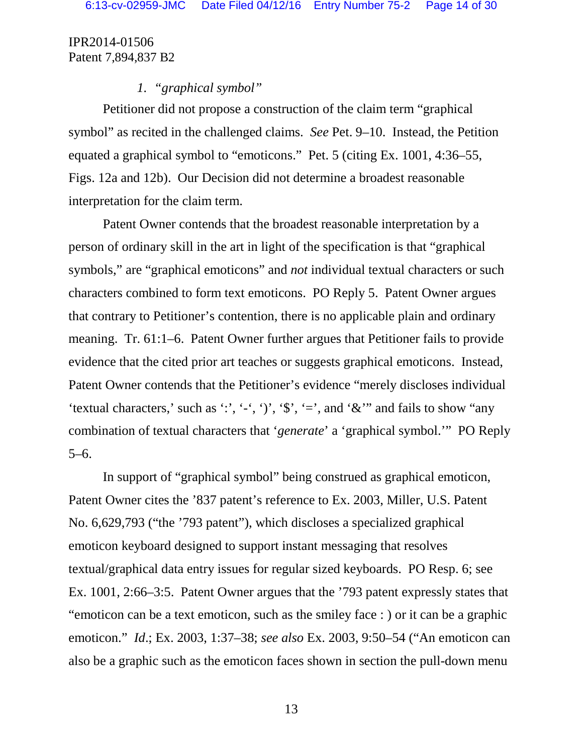### *1. "graphical symbol"*

Petitioner did not propose a construction of the claim term "graphical symbol" as recited in the challenged claims. *See* Pet. 9–10. Instead, the Petition equated a graphical symbol to "emoticons." Pet. 5 (citing Ex. 1001, 4:36–55, Figs. 12a and 12b). Our Decision did not determine a broadest reasonable interpretation for the claim term.

Patent Owner contends that the broadest reasonable interpretation by a person of ordinary skill in the art in light of the specification is that "graphical symbols," are "graphical emoticons" and *not* individual textual characters or such characters combined to form text emoticons. PO Reply 5. Patent Owner argues that contrary to Petitioner's contention, there is no applicable plain and ordinary meaning. Tr. 61:1–6. Patent Owner further argues that Petitioner fails to provide evidence that the cited prior art teaches or suggests graphical emoticons. Instead, Patent Owner contends that the Petitioner's evidence "merely discloses individual 'textual characters,' such as ':', '-', ')', ' $\hat{\mathbf{s}}'$ , '=', and ' $\hat{\mathbf{x}}''$  and fails to show "any combination of textual characters that '*generate*' a 'graphical symbol.'" PO Reply 5–6.

In support of "graphical symbol" being construed as graphical emoticon, Patent Owner cites the '837 patent's reference to Ex. 2003, Miller, U.S. Patent No. 6,629,793 ("the '793 patent"), which discloses a specialized graphical emoticon keyboard designed to support instant messaging that resolves textual/graphical data entry issues for regular sized keyboards. PO Resp. 6; see Ex. 1001, 2:66–3:5. Patent Owner argues that the '793 patent expressly states that "emoticon can be a text emoticon, such as the smiley face : ) or it can be a graphic emoticon." *Id*.; Ex. 2003, 1:37–38; *see also* Ex. 2003, 9:50–54 ("An emoticon can also be a graphic such as the emoticon faces shown in section the pull-down menu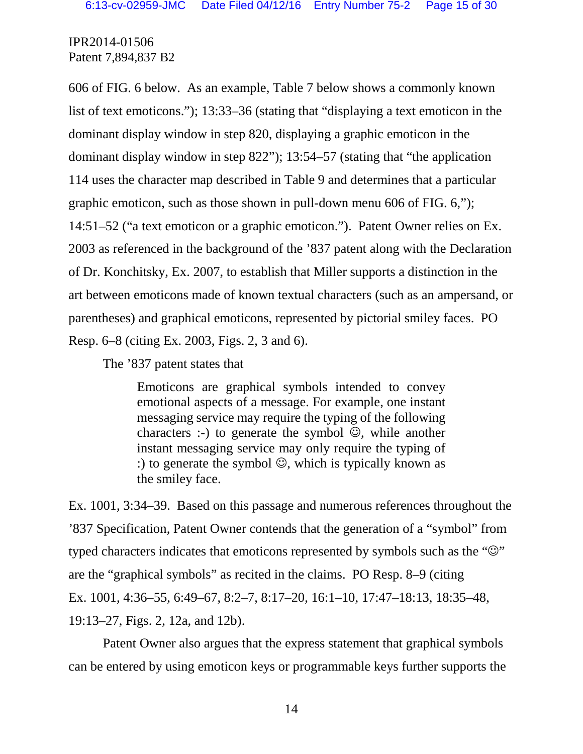606 of FIG. 6 below. As an example, Table 7 below shows a commonly known list of text emoticons."); 13:33–36 (stating that "displaying a text emoticon in the dominant display window in step 820, displaying a graphic emoticon in the dominant display window in step 822"); 13:54–57 (stating that "the application 114 uses the character map described in Table 9 and determines that a particular graphic emoticon, such as those shown in pull-down menu 606 of FIG. 6,"); 14:51–52 ("a text emoticon or a graphic emoticon."). Patent Owner relies on Ex. 2003 as referenced in the background of the '837 patent along with the Declaration of Dr. Konchitsky, Ex. 2007, to establish that Miller supports a distinction in the art between emoticons made of known textual characters (such as an ampersand, or parentheses) and graphical emoticons, represented by pictorial smiley faces. PO Resp. 6–8 (citing Ex. 2003, Figs. 2, 3 and 6).

The '837 patent states that

Emoticons are graphical symbols intended to convey emotional aspects of a message. For example, one instant messaging service may require the typing of the following characters :-) to generate the symbol  $\mathcal{O}$ , while another instant messaging service may only require the typing of :) to generate the symbol  $\mathcal{O}$ , which is typically known as the smiley face.

Ex. 1001, 3:34–39. Based on this passage and numerous references throughout the '837 Specification, Patent Owner contends that the generation of a "symbol" from typed characters indicates that emoticons represented by symbols such as the " $\mathbb{Q}$ " are the "graphical symbols" as recited in the claims. PO Resp. 8–9 (citing Ex. 1001, 4:36–55, 6:49–67, 8:2–7, 8:17–20, 16:1–10, 17:47–18:13, 18:35–48, 19:13–27, Figs. 2, 12a, and 12b).

Patent Owner also argues that the express statement that graphical symbols can be entered by using emoticon keys or programmable keys further supports the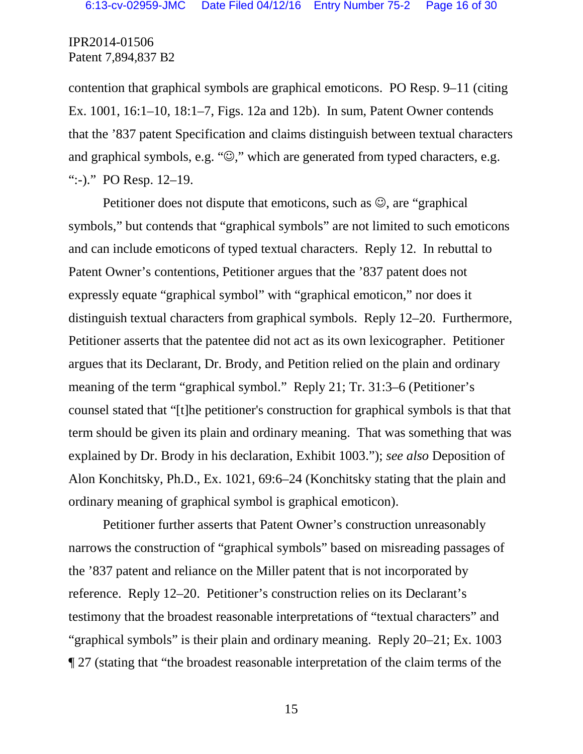contention that graphical symbols are graphical emoticons. PO Resp. 9–11 (citing Ex. 1001, 16:1–10, 18:1–7, Figs. 12a and 12b). In sum, Patent Owner contends that the '837 patent Specification and claims distinguish between textual characters and graphical symbols, e.g. " $\mathbb{Q}$ ," which are generated from typed characters, e.g. ":-)." PO Resp. 12–19.

Petitioner does not dispute that emoticons, such as  $\mathcal{O}$ , are "graphical" symbols," but contends that "graphical symbols" are not limited to such emoticons and can include emoticons of typed textual characters. Reply 12. In rebuttal to Patent Owner's contentions, Petitioner argues that the '837 patent does not expressly equate "graphical symbol" with "graphical emoticon," nor does it distinguish textual characters from graphical symbols. Reply 12–20. Furthermore, Petitioner asserts that the patentee did not act as its own lexicographer. Petitioner argues that its Declarant, Dr. Brody, and Petition relied on the plain and ordinary meaning of the term "graphical symbol." Reply 21; Tr. 31:3–6 (Petitioner's counsel stated that "[t]he petitioner's construction for graphical symbols is that that term should be given its plain and ordinary meaning. That was something that was explained by Dr. Brody in his declaration, Exhibit 1003."); *see also* Deposition of Alon Konchitsky, Ph.D., Ex. 1021, 69:6–24 (Konchitsky stating that the plain and ordinary meaning of graphical symbol is graphical emoticon).

Petitioner further asserts that Patent Owner's construction unreasonably narrows the construction of "graphical symbols" based on misreading passages of the '837 patent and reliance on the Miller patent that is not incorporated by reference. Reply 12–20. Petitioner's construction relies on its Declarant's testimony that the broadest reasonable interpretations of "textual characters" and "graphical symbols" is their plain and ordinary meaning. Reply 20–21; Ex. 1003 ¶ 27 (stating that "the broadest reasonable interpretation of the claim terms of the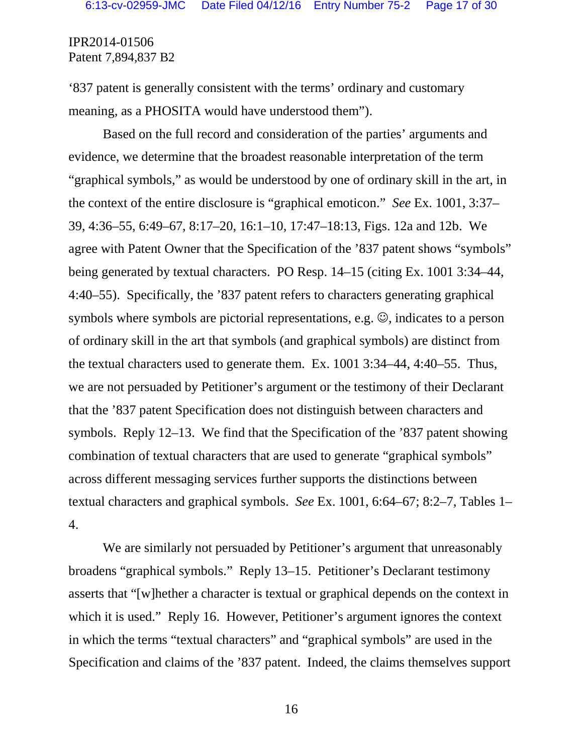'837 patent is generally consistent with the terms' ordinary and customary meaning, as a PHOSITA would have understood them").

Based on the full record and consideration of the parties' arguments and evidence, we determine that the broadest reasonable interpretation of the term "graphical symbols," as would be understood by one of ordinary skill in the art, in the context of the entire disclosure is "graphical emoticon." *See* Ex. 1001, 3:37– 39, 4:36–55, 6:49–67, 8:17–20, 16:1–10, 17:47–18:13, Figs. 12a and 12b. We agree with Patent Owner that the Specification of the '837 patent shows "symbols" being generated by textual characters. PO Resp. 14–15 (citing Ex. 1001 3:34–44, 4:40–55). Specifically, the '837 patent refers to characters generating graphical symbols where symbols are pictorial representations, e.g.  $\mathcal{O}$ , indicates to a person of ordinary skill in the art that symbols (and graphical symbols) are distinct from the textual characters used to generate them. Ex. 1001 3:34–44, 4:40–55. Thus, we are not persuaded by Petitioner's argument or the testimony of their Declarant that the '837 patent Specification does not distinguish between characters and symbols. Reply 12–13. We find that the Specification of the '837 patent showing combination of textual characters that are used to generate "graphical symbols" across different messaging services further supports the distinctions between textual characters and graphical symbols. *See* Ex. 1001, 6:64–67; 8:2–7, Tables 1– 4.

We are similarly not persuaded by Petitioner's argument that unreasonably broadens "graphical symbols." Reply 13–15. Petitioner's Declarant testimony asserts that "[w]hether a character is textual or graphical depends on the context in which it is used." Reply 16. However, Petitioner's argument ignores the context in which the terms "textual characters" and "graphical symbols" are used in the Specification and claims of the '837 patent. Indeed, the claims themselves support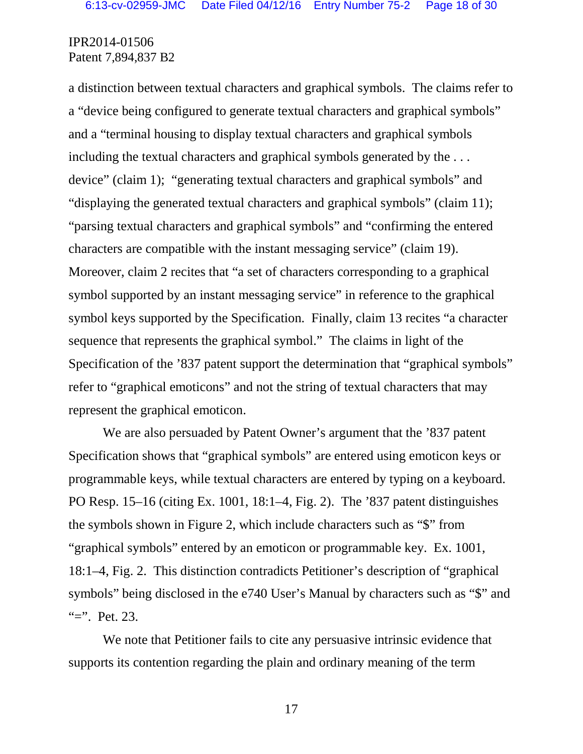a distinction between textual characters and graphical symbols. The claims refer to a "device being configured to generate textual characters and graphical symbols" and a "terminal housing to display textual characters and graphical symbols including the textual characters and graphical symbols generated by the . . . device" (claim 1); "generating textual characters and graphical symbols" and "displaying the generated textual characters and graphical symbols" (claim 11); "parsing textual characters and graphical symbols" and "confirming the entered characters are compatible with the instant messaging service" (claim 19). Moreover, claim 2 recites that "a set of characters corresponding to a graphical symbol supported by an instant messaging service" in reference to the graphical symbol keys supported by the Specification. Finally, claim 13 recites "a character sequence that represents the graphical symbol." The claims in light of the Specification of the '837 patent support the determination that "graphical symbols" refer to "graphical emoticons" and not the string of textual characters that may represent the graphical emoticon.

We are also persuaded by Patent Owner's argument that the '837 patent Specification shows that "graphical symbols" are entered using emoticon keys or programmable keys, while textual characters are entered by typing on a keyboard. PO Resp. 15–16 (citing Ex. 1001, 18:1–4, Fig. 2). The '837 patent distinguishes the symbols shown in Figure 2, which include characters such as "\$" from "graphical symbols" entered by an emoticon or programmable key. Ex. 1001, 18:1–4, Fig. 2. This distinction contradicts Petitioner's description of "graphical symbols" being disclosed in the e740 User's Manual by characters such as "\$" and "=". Pet. 23.

We note that Petitioner fails to cite any persuasive intrinsic evidence that supports its contention regarding the plain and ordinary meaning of the term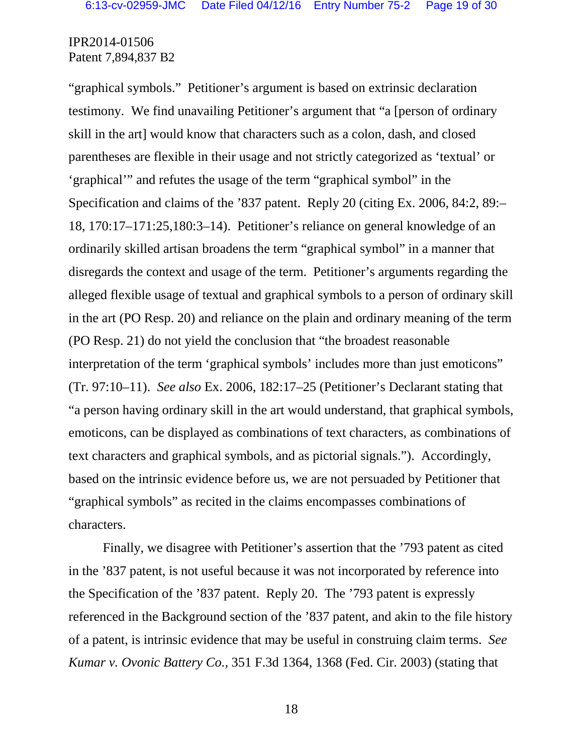"graphical symbols." Petitioner's argument is based on extrinsic declaration testimony. We find unavailing Petitioner's argument that "a [person of ordinary skill in the art] would know that characters such as a colon, dash, and closed parentheses are flexible in their usage and not strictly categorized as 'textual' or 'graphical'" and refutes the usage of the term "graphical symbol" in the Specification and claims of the '837 patent. Reply 20 (citing Ex. 2006, 84:2, 89:– 18, 170:17–171:25,180:3–14). Petitioner's reliance on general knowledge of an ordinarily skilled artisan broadens the term "graphical symbol" in a manner that disregards the context and usage of the term. Petitioner's arguments regarding the alleged flexible usage of textual and graphical symbols to a person of ordinary skill in the art (PO Resp. 20) and reliance on the plain and ordinary meaning of the term (PO Resp. 21) do not yield the conclusion that "the broadest reasonable interpretation of the term 'graphical symbols' includes more than just emoticons" (Tr. 97:10–11). *See also* Ex. 2006, 182:17–25 (Petitioner's Declarant stating that "a person having ordinary skill in the art would understand, that graphical symbols, emoticons, can be displayed as combinations of text characters, as combinations of text characters and graphical symbols, and as pictorial signals."). Accordingly, based on the intrinsic evidence before us, we are not persuaded by Petitioner that "graphical symbols" as recited in the claims encompasses combinations of characters.

Finally, we disagree with Petitioner's assertion that the '793 patent as cited in the '837 patent, is not useful because it was not incorporated by reference into the Specification of the '837 patent. Reply 20. The '793 patent is expressly referenced in the Background section of the '837 patent, and akin to the file history of a patent, is intrinsic evidence that may be useful in construing claim terms. *See Kumar v. Ovonic Battery Co.,* 351 F.3d 1364, 1368 (Fed. Cir. 2003) (stating that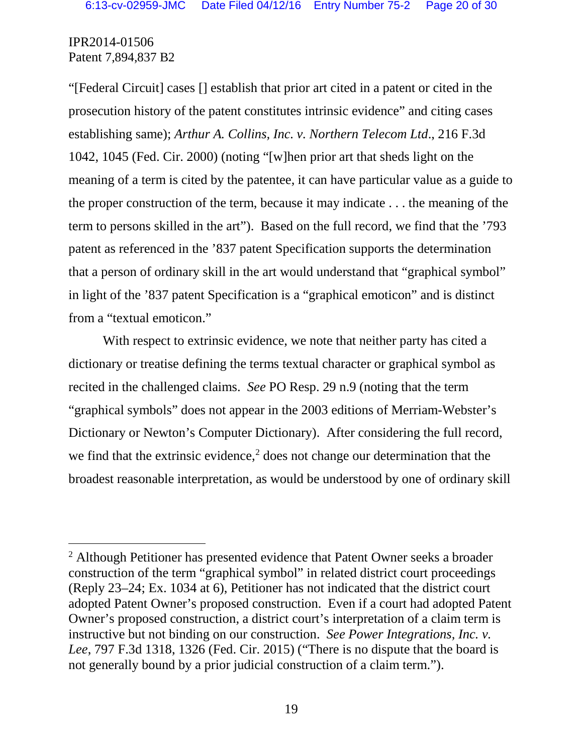"[Federal Circuit] cases [] establish that prior art cited in a patent or cited in the prosecution history of the patent constitutes intrinsic evidence" and citing cases establishing same); *Arthur A. Collins, Inc. v. Northern Telecom Ltd*., 216 F.3d 1042, 1045 (Fed. Cir. 2000) (noting "[w]hen prior art that sheds light on the meaning of a term is cited by the patentee, it can have particular value as a guide to the proper construction of the term, because it may indicate . . . the meaning of the term to persons skilled in the art"). Based on the full record, we find that the '793 patent as referenced in the '837 patent Specification supports the determination that a person of ordinary skill in the art would understand that "graphical symbol" in light of the '837 patent Specification is a "graphical emoticon" and is distinct from a "textual emoticon."

With respect to extrinsic evidence, we note that neither party has cited a dictionary or treatise defining the terms textual character or graphical symbol as recited in the challenged claims. *See* PO Resp. 29 n.9 (noting that the term "graphical symbols" does not appear in the 2003 editions of Merriam-Webster's Dictionary or Newton's Computer Dictionary). After considering the full record, we find that the extrinsic evidence, $2$  does not change our determination that the broadest reasonable interpretation, as would be understood by one of ordinary skill

<span id="page-18-0"></span> <sup>2</sup> Although Petitioner has presented evidence that Patent Owner seeks a broader construction of the term "graphical symbol" in related district court proceedings (Reply 23–24; Ex. 1034 at 6), Petitioner has not indicated that the district court adopted Patent Owner's proposed construction. Even if a court had adopted Patent Owner's proposed construction, a district court's interpretation of a claim term is instructive but not binding on our construction. *See Power Integrations, Inc. v. Lee*, 797 F.3d 1318, 1326 (Fed. Cir. 2015) ("There is no dispute that the board is not generally bound by a prior judicial construction of a claim term.").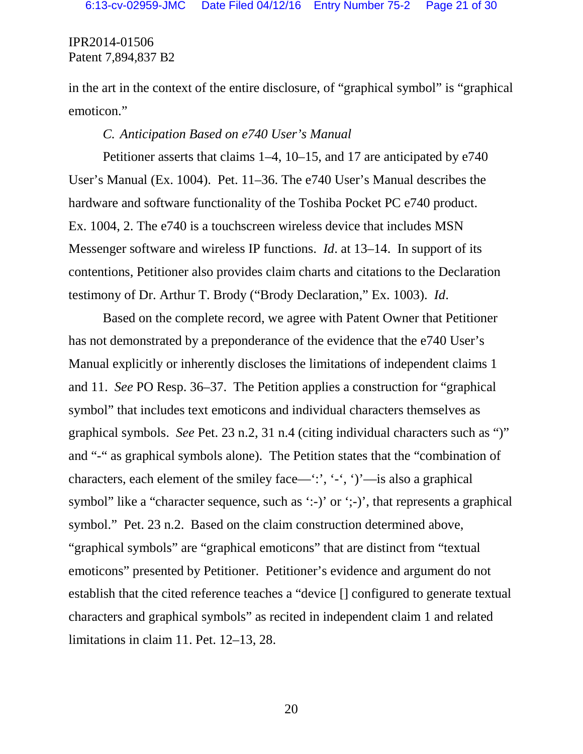in the art in the context of the entire disclosure, of "graphical symbol" is "graphical emoticon."

### *C. Anticipation Based on e740 User's Manual*

Petitioner asserts that claims 1–4, 10–15, and 17 are anticipated by e740 User's Manual (Ex. 1004). Pet. 11–36. The e740 User's Manual describes the hardware and software functionality of the Toshiba Pocket PC e740 product. Ex. 1004, 2. The e740 is a touchscreen wireless device that includes MSN Messenger software and wireless IP functions. *Id*. at 13–14. In support of its contentions, Petitioner also provides claim charts and citations to the Declaration testimony of Dr. Arthur T. Brody ("Brody Declaration," Ex. 1003). *Id*.

Based on the complete record, we agree with Patent Owner that Petitioner has not demonstrated by a preponderance of the evidence that the e740 User's Manual explicitly or inherently discloses the limitations of independent claims 1 and 11. *See* PO Resp. 36–37. The Petition applies a construction for "graphical symbol" that includes text emoticons and individual characters themselves as graphical symbols. *See* Pet. 23 n.2, 31 n.4 (citing individual characters such as ")" and "-" as graphical symbols alone). The Petition states that the "combination of characters, each element of the smiley face—':', '-', ')'—is also a graphical symbol" like a "character sequence, such as ':-)' or ';-)', that represents a graphical symbol." Pet. 23 n.2. Based on the claim construction determined above, "graphical symbols" are "graphical emoticons" that are distinct from "textual emoticons" presented by Petitioner. Petitioner's evidence and argument do not establish that the cited reference teaches a "device [] configured to generate textual characters and graphical symbols" as recited in independent claim 1 and related limitations in claim 11. Pet. 12–13, 28.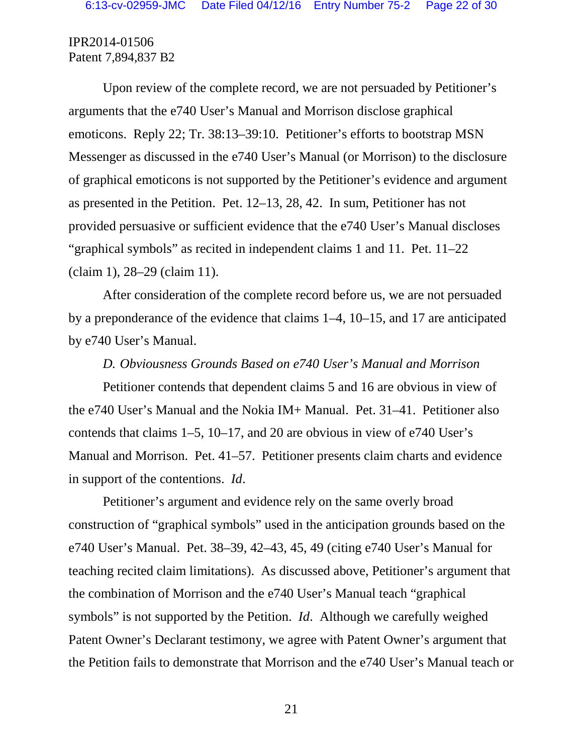Upon review of the complete record, we are not persuaded by Petitioner's arguments that the e740 User's Manual and Morrison disclose graphical emoticons. Reply 22; Tr. 38:13–39:10. Petitioner's efforts to bootstrap MSN Messenger as discussed in the e740 User's Manual (or Morrison) to the disclosure of graphical emoticons is not supported by the Petitioner's evidence and argument as presented in the Petition. Pet. 12–13, 28, 42. In sum, Petitioner has not provided persuasive or sufficient evidence that the e740 User's Manual discloses "graphical symbols" as recited in independent claims 1 and 11. Pet. 11–22 (claim 1), 28–29 (claim 11).

After consideration of the complete record before us, we are not persuaded by a preponderance of the evidence that claims 1–4, 10–15, and 17 are anticipated by e740 User's Manual.

#### *D. Obviousness Grounds Based on e740 User's Manual and Morrison*

Petitioner contends that dependent claims 5 and 16 are obvious in view of the e740 User's Manual and the Nokia IM+ Manual. Pet. 31–41. Petitioner also contends that claims 1–5, 10–17, and 20 are obvious in view of e740 User's Manual and Morrison. Pet. 41–57. Petitioner presents claim charts and evidence in support of the contentions. *Id*.

Petitioner's argument and evidence rely on the same overly broad construction of "graphical symbols" used in the anticipation grounds based on the e740 User's Manual. Pet. 38–39, 42–43, 45, 49 (citing e740 User's Manual for teaching recited claim limitations). As discussed above, Petitioner's argument that the combination of Morrison and the e740 User's Manual teach "graphical symbols" is not supported by the Petition. *Id*. Although we carefully weighed Patent Owner's Declarant testimony, we agree with Patent Owner's argument that the Petition fails to demonstrate that Morrison and the e740 User's Manual teach or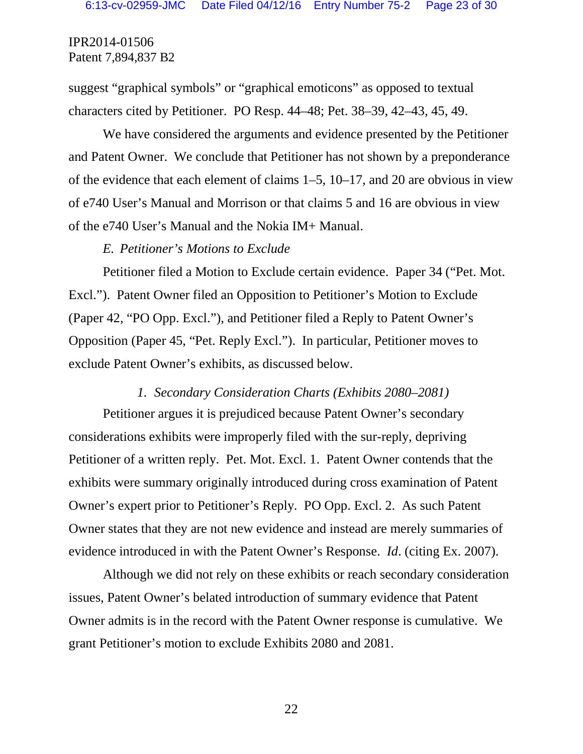suggest "graphical symbols" or "graphical emoticons" as opposed to textual characters cited by Petitioner. PO Resp. 44–48; Pet. 38–39, 42–43, 45, 49.

We have considered the arguments and evidence presented by the Petitioner and Patent Owner. We conclude that Petitioner has not shown by a preponderance of the evidence that each element of claims 1–5, 10–17, and 20 are obvious in view of e740 User's Manual and Morrison or that claims 5 and 16 are obvious in view of the e740 User's Manual and the Nokia IM+ Manual.

#### *E. Petitioner's Motions to Exclude*

Petitioner filed a Motion to Exclude certain evidence. Paper 34 ("Pet. Mot. Excl."). Patent Owner filed an Opposition to Petitioner's Motion to Exclude (Paper 42, "PO Opp. Excl."), and Petitioner filed a Reply to Patent Owner's Opposition (Paper 45, "Pet. Reply Excl."). In particular, Petitioner moves to exclude Patent Owner's exhibits, as discussed below.

#### *1. Secondary Consideration Charts (Exhibits 2080–2081)*

Petitioner argues it is prejudiced because Patent Owner's secondary considerations exhibits were improperly filed with the sur-reply, depriving Petitioner of a written reply. Pet. Mot. Excl. 1. Patent Owner contends that the exhibits were summary originally introduced during cross examination of Patent Owner's expert prior to Petitioner's Reply. PO Opp. Excl. 2. As such Patent Owner states that they are not new evidence and instead are merely summaries of evidence introduced in with the Patent Owner's Response. *Id*. (citing Ex. 2007).

Although we did not rely on these exhibits or reach secondary consideration issues, Patent Owner's belated introduction of summary evidence that Patent Owner admits is in the record with the Patent Owner response is cumulative. We grant Petitioner's motion to exclude Exhibits 2080 and 2081.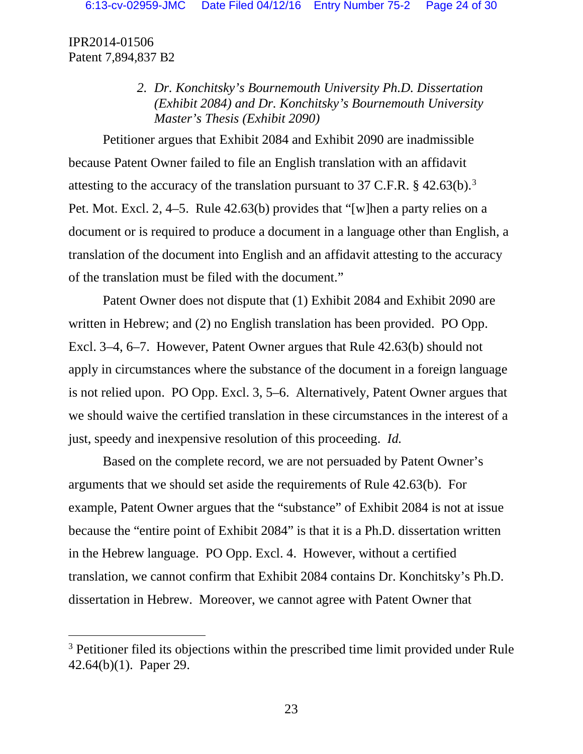> *2. Dr. Konchitsky's Bournemouth University Ph.D. Dissertation (Exhibit 2084) and Dr. Konchitsky's Bournemouth University Master's Thesis (Exhibit 2090)*

Petitioner argues that Exhibit 2084 and Exhibit 2090 are inadmissible because Patent Owner failed to file an English translation with an affidavit attesting to the accuracy of the translation pursuant to [3](#page-22-0)7 C.F.R.  $\S$  42.63(b).<sup>3</sup> Pet. Mot. Excl. 2, 4–5. Rule 42.63(b) provides that "[w]hen a party relies on a document or is required to produce a document in a language other than English, a translation of the document into English and an affidavit attesting to the accuracy of the translation must be filed with the document."

Patent Owner does not dispute that (1) Exhibit 2084 and Exhibit 2090 are written in Hebrew; and (2) no English translation has been provided. PO Opp. Excl. 3–4, 6–7. However, Patent Owner argues that Rule 42.63(b) should not apply in circumstances where the substance of the document in a foreign language is not relied upon. PO Opp. Excl. 3, 5–6. Alternatively, Patent Owner argues that we should waive the certified translation in these circumstances in the interest of a just, speedy and inexpensive resolution of this proceeding. *Id.*

Based on the complete record, we are not persuaded by Patent Owner's arguments that we should set aside the requirements of Rule 42.63(b). For example, Patent Owner argues that the "substance" of Exhibit 2084 is not at issue because the "entire point of Exhibit 2084" is that it is a Ph.D. dissertation written in the Hebrew language. PO Opp. Excl. 4. However, without a certified translation, we cannot confirm that Exhibit 2084 contains Dr. Konchitsky's Ph.D. dissertation in Hebrew. Moreover, we cannot agree with Patent Owner that

<span id="page-22-0"></span><sup>&</sup>lt;sup>3</sup> Petitioner filed its objections within the prescribed time limit provided under Rule 42.64(b)(1). Paper 29.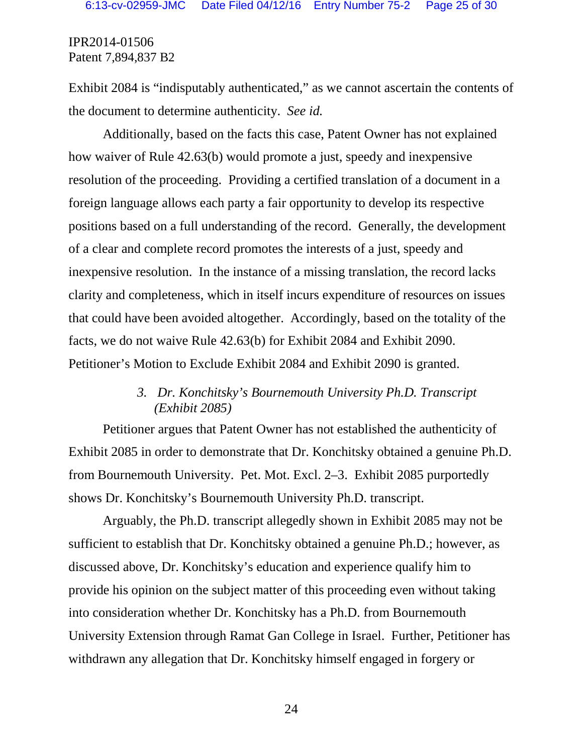Exhibit 2084 is "indisputably authenticated," as we cannot ascertain the contents of the document to determine authenticity. *See id.*

Additionally, based on the facts this case, Patent Owner has not explained how waiver of Rule 42.63(b) would promote a just, speedy and inexpensive resolution of the proceeding. Providing a certified translation of a document in a foreign language allows each party a fair opportunity to develop its respective positions based on a full understanding of the record. Generally, the development of a clear and complete record promotes the interests of a just, speedy and inexpensive resolution. In the instance of a missing translation, the record lacks clarity and completeness, which in itself incurs expenditure of resources on issues that could have been avoided altogether. Accordingly, based on the totality of the facts, we do not waive Rule 42.63(b) for Exhibit 2084 and Exhibit 2090. Petitioner's Motion to Exclude Exhibit 2084 and Exhibit 2090 is granted.

## *3. Dr. Konchitsky's Bournemouth University Ph.D. Transcript (Exhibit 2085)*

Petitioner argues that Patent Owner has not established the authenticity of Exhibit 2085 in order to demonstrate that Dr. Konchitsky obtained a genuine Ph.D. from Bournemouth University. Pet. Mot. Excl. 2–3. Exhibit 2085 purportedly shows Dr. Konchitsky's Bournemouth University Ph.D. transcript.

Arguably, the Ph.D. transcript allegedly shown in Exhibit 2085 may not be sufficient to establish that Dr. Konchitsky obtained a genuine Ph.D.; however, as discussed above, Dr. Konchitsky's education and experience qualify him to provide his opinion on the subject matter of this proceeding even without taking into consideration whether Dr. Konchitsky has a Ph.D. from Bournemouth University Extension through Ramat Gan College in Israel. Further, Petitioner has withdrawn any allegation that Dr. Konchitsky himself engaged in forgery or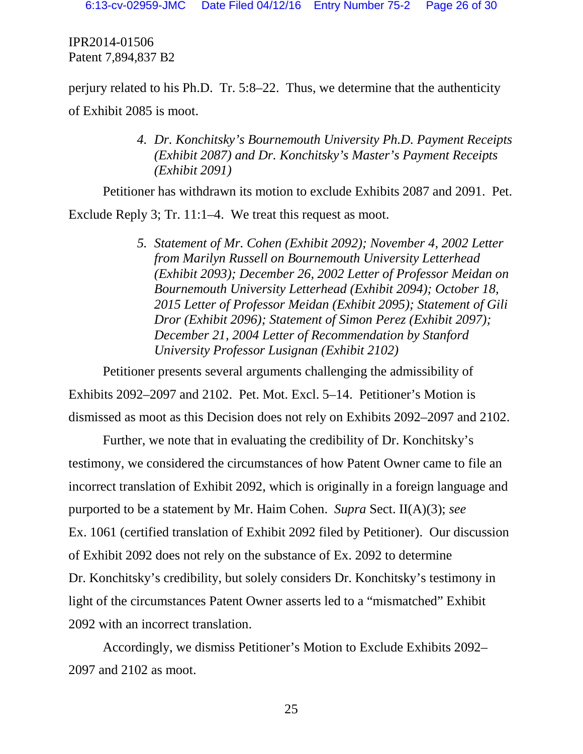perjury related to his Ph.D. Tr. 5:8–22. Thus, we determine that the authenticity of Exhibit 2085 is moot.

> *4. Dr. Konchitsky's Bournemouth University Ph.D. Payment Receipts (Exhibit 2087) and Dr. Konchitsky's Master's Payment Receipts (Exhibit 2091)*

Petitioner has withdrawn its motion to exclude Exhibits 2087 and 2091. Pet.

Exclude Reply 3; Tr. 11:1–4. We treat this request as moot.

*5. Statement of Mr. Cohen (Exhibit 2092); November 4, 2002 Letter from Marilyn Russell on Bournemouth University Letterhead (Exhibit 2093); December 26, 2002 Letter of Professor Meidan on Bournemouth University Letterhead (Exhibit 2094); October 18, 2015 Letter of Professor Meidan (Exhibit 2095); Statement of Gili Dror (Exhibit 2096); Statement of Simon Perez (Exhibit 2097); December 21, 2004 Letter of Recommendation by Stanford University Professor Lusignan (Exhibit 2102)*

Petitioner presents several arguments challenging the admissibility of Exhibits 2092–2097 and 2102. Pet. Mot. Excl. 5–14. Petitioner's Motion is dismissed as moot as this Decision does not rely on Exhibits 2092–2097 and 2102.

Further, we note that in evaluating the credibility of Dr. Konchitsky's testimony, we considered the circumstances of how Patent Owner came to file an incorrect translation of Exhibit 2092, which is originally in a foreign language and purported to be a statement by Mr. Haim Cohen. *Supra* Sect. II(A)(3); *see* Ex. 1061 (certified translation of Exhibit 2092 filed by Petitioner). Our discussion of Exhibit 2092 does not rely on the substance of Ex. 2092 to determine Dr. Konchitsky's credibility, but solely considers Dr. Konchitsky's testimony in light of the circumstances Patent Owner asserts led to a "mismatched" Exhibit 2092 with an incorrect translation.

Accordingly, we dismiss Petitioner's Motion to Exclude Exhibits 2092– 2097 and 2102 as moot.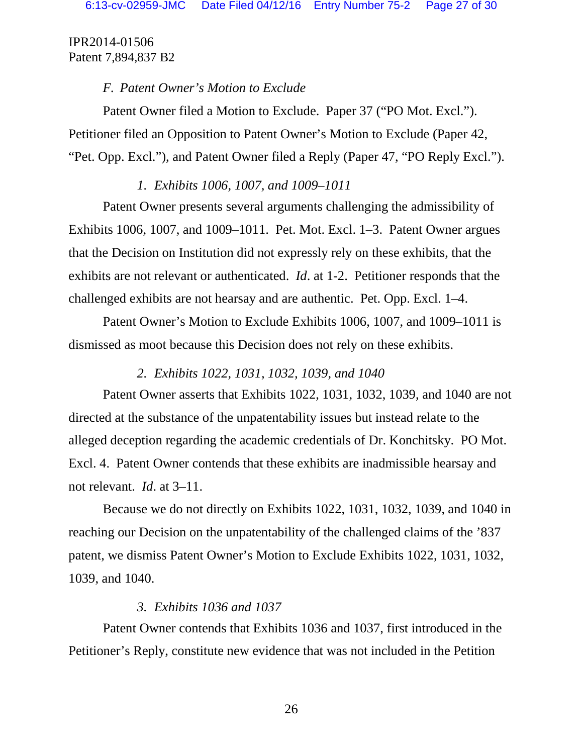## *F. Patent Owner's Motion to Exclude*

Patent Owner filed a Motion to Exclude. Paper 37 ("PO Mot. Excl."). Petitioner filed an Opposition to Patent Owner's Motion to Exclude (Paper 42, "Pet. Opp. Excl."), and Patent Owner filed a Reply (Paper 47, "PO Reply Excl.").

# *1. Exhibits 1006, 1007, and 1009–1011*

Patent Owner presents several arguments challenging the admissibility of Exhibits 1006, 1007, and 1009–1011. Pet. Mot. Excl. 1–3. Patent Owner argues that the Decision on Institution did not expressly rely on these exhibits, that the exhibits are not relevant or authenticated. *Id*. at 1-2. Petitioner responds that the challenged exhibits are not hearsay and are authentic. Pet. Opp. Excl. 1–4.

Patent Owner's Motion to Exclude Exhibits 1006, 1007, and 1009–1011 is dismissed as moot because this Decision does not rely on these exhibits.

# *2. Exhibits 1022, 1031, 1032, 1039, and 1040*

Patent Owner asserts that Exhibits 1022, 1031, 1032, 1039, and 1040 are not directed at the substance of the unpatentability issues but instead relate to the alleged deception regarding the academic credentials of Dr. Konchitsky. PO Mot. Excl. 4. Patent Owner contends that these exhibits are inadmissible hearsay and not relevant. *Id*. at 3–11.

Because we do not directly on Exhibits 1022, 1031, 1032, 1039, and 1040 in reaching our Decision on the unpatentability of the challenged claims of the '837 patent, we dismiss Patent Owner's Motion to Exclude Exhibits 1022, 1031, 1032, 1039, and 1040.

# *3. Exhibits 1036 and 1037*

Patent Owner contends that Exhibits 1036 and 1037, first introduced in the Petitioner's Reply, constitute new evidence that was not included in the Petition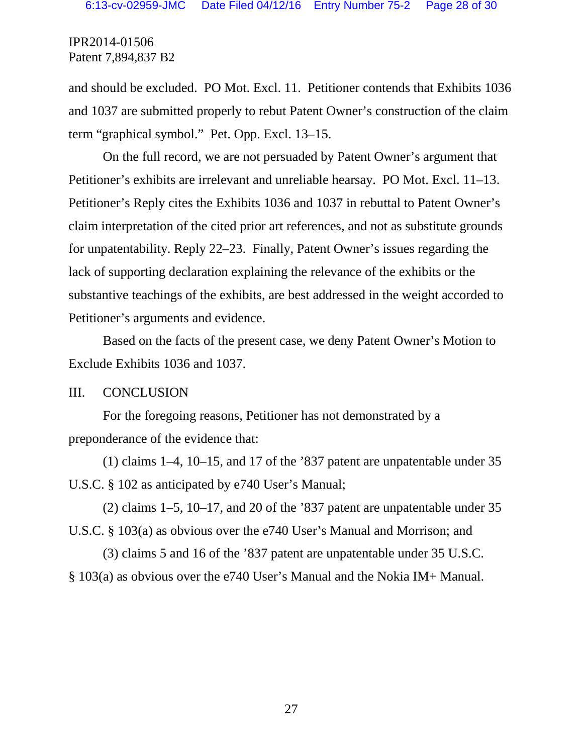and should be excluded. PO Mot. Excl. 11. Petitioner contends that Exhibits 1036 and 1037 are submitted properly to rebut Patent Owner's construction of the claim term "graphical symbol." Pet. Opp. Excl. 13–15.

On the full record, we are not persuaded by Patent Owner's argument that Petitioner's exhibits are irrelevant and unreliable hearsay. PO Mot. Excl. 11–13. Petitioner's Reply cites the Exhibits 1036 and 1037 in rebuttal to Patent Owner's claim interpretation of the cited prior art references, and not as substitute grounds for unpatentability. Reply 22–23. Finally, Patent Owner's issues regarding the lack of supporting declaration explaining the relevance of the exhibits or the substantive teachings of the exhibits, are best addressed in the weight accorded to Petitioner's arguments and evidence.

Based on the facts of the present case, we deny Patent Owner's Motion to Exclude Exhibits 1036 and 1037.

#### III. CONCLUSION

For the foregoing reasons, Petitioner has not demonstrated by a preponderance of the evidence that:

(1) claims 1–4, 10–15, and 17 of the '837 patent are unpatentable under 35 U.S.C. § 102 as anticipated by e740 User's Manual;

(2) claims 1–5, 10–17, and 20 of the '837 patent are unpatentable under 35 U.S.C. § 103(a) as obvious over the e740 User's Manual and Morrison; and

(3) claims 5 and 16 of the '837 patent are unpatentable under 35 U.S.C. § 103(a) as obvious over the e740 User's Manual and the Nokia IM+ Manual.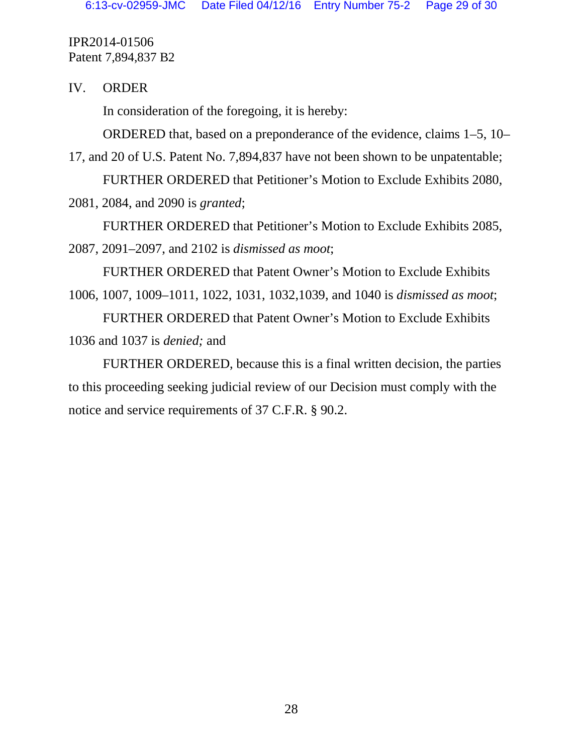IV. ORDER

In consideration of the foregoing, it is hereby:

ORDERED that, based on a preponderance of the evidence, claims 1–5, 10–

17, and 20 of U.S. Patent No. 7,894,837 have not been shown to be unpatentable;

FURTHER ORDERED that Petitioner's Motion to Exclude Exhibits 2080, 2081, 2084, and 2090 is *granted*;

FURTHER ORDERED that Petitioner's Motion to Exclude Exhibits 2085, 2087, 2091–2097, and 2102 is *dismissed as moot*;

FURTHER ORDERED that Patent Owner's Motion to Exclude Exhibits 1006, 1007, 1009–1011, 1022, 1031, 1032,1039, and 1040 is *dismissed as moot*;

FURTHER ORDERED that Patent Owner's Motion to Exclude Exhibits 1036 and 1037 is *denied;* and

FURTHER ORDERED, because this is a final written decision, the parties to this proceeding seeking judicial review of our Decision must comply with the notice and service requirements of 37 C.F.R. § 90.2.